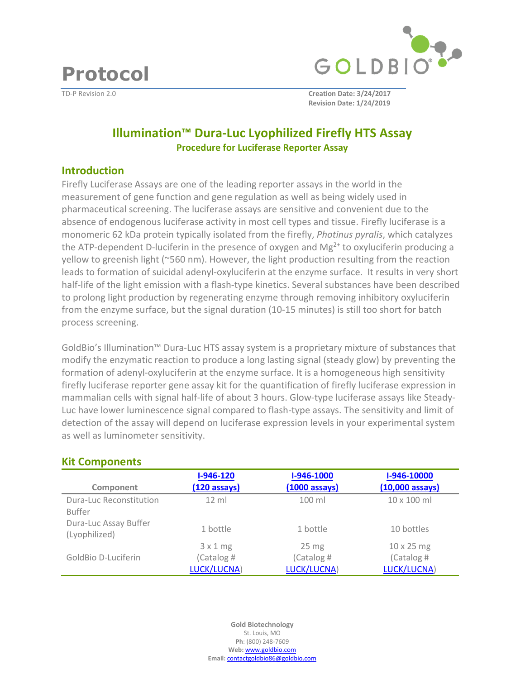**Protocol** 



TD-P Revision 2.0 **Creation Date: 3/24/2017 Revision Date: 1/24/2019**

# **Illumination™ Dura-Luc Lyophilized Firefly HTS Assay Procedure for Luciferase Reporter Assay**

#### **Introduction**

Firefly Luciferase Assays are one of the leading reporter assays in the world in the measurement of gene function and gene regulation as well as being widely used in pharmaceutical screening. The luciferase assays are sensitive and convenient due to the absence of endogenous luciferase activity in most cell types and tissue. Firefly luciferase is a monomeric 62 kDa protein typically isolated from the firefly, *Photinus pyralis*, which catalyzes the ATP-dependent D-luciferin in the presence of oxygen and  $Mg^{2+}$  to oxyluciferin producing a yellow to greenish light (~560 nm). However, the light production resulting from the reaction leads to formation of suicidal adenyl-oxyluciferin at the enzyme surface. It results in very short half-life of the light emission with a flash-type kinetics. Several substances have been described to prolong light production by regenerating enzyme through removing inhibitory oxyluciferin from the enzyme surface, but the signal duration (10-15 minutes) is still too short for batch process screening.

GoldBio's Illumination™ Dura-Luc HTS assay system is a proprietary mixture of substances that modify the enzymatic reaction to produce a long lasting signal (steady glow) by preventing the formation of adenyl-oxyluciferin at the enzyme surface. It is a homogeneous high sensitivity firefly luciferase reporter gene assay kit for the quantification of firefly luciferase expression in mammalian cells with signal half-life of about 3 hours. Glow-type luciferase assays like Steady-Luc have lower luminescence signal compared to flash-type assays. The sensitivity and limit of detection of the assay will depend on luciferase expression levels in your experimental system as well as luminometer sensitivity.

| Component               | $I-946-120$<br>$(120 \text{ assays})$ | I-946-1000<br>$(1000 \text{ assays})$ | I-946-10000<br>$(10,000$ assays) |
|-------------------------|---------------------------------------|---------------------------------------|----------------------------------|
|                         |                                       |                                       |                                  |
| Dura-Luc Reconstitution | $12 \text{ ml}$                       | $100$ ml                              | $10 \times 100$ ml               |
| <b>Buffer</b>           |                                       |                                       |                                  |
| Dura-Luc Assay Buffer   |                                       |                                       |                                  |
| (Lyophilized)           | 1 bottle                              | 1 bottle                              | 10 bottles                       |
|                         | 3x1mg                                 | $25 \text{ mg}$                       | $10 \times 25$ mg                |
| GoldBio D-Luciferin     | (Catalog #                            | (Catalog #                            | (Catalog #                       |
|                         |                                       |                                       |                                  |
|                         | LUCK/LUCNA)                           | LUCK/LUCNA)                           | LUCK/LUCNA)                      |

### **Kit Components**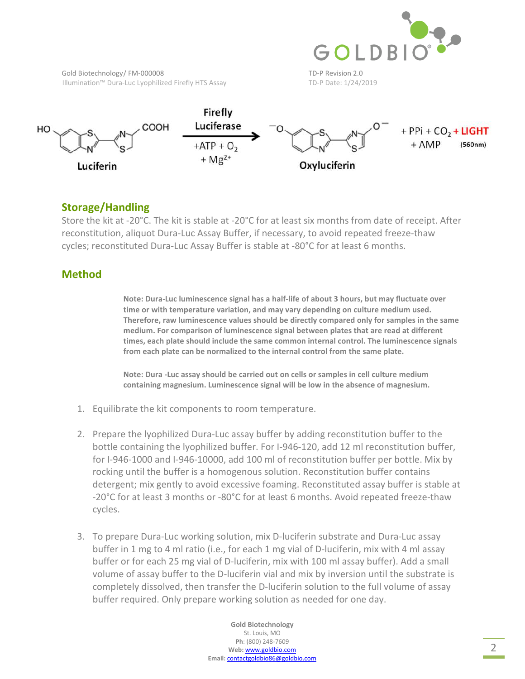

Gold Biotechnology/FM-000008 TD-P Revision 2.0 Illumination™ Dura-Luc Lyophilized Firefly HTS Assay TD-P Date: 1/24/2019



## **Storage/Handling**

Store the kit at -20°C. The kit is stable at -20°C for at least six months from date of receipt. After reconstitution, aliquot Dura-Luc Assay Buffer, if necessary, to avoid repeated freeze-thaw cycles; reconstituted Dura-Luc Assay Buffer is stable at -80°C for at least 6 months.

### **Method**

**Note: Dura-Luc luminescence signal has a half-life of about 3 hours, but may fluctuate over time or with temperature variation, and may vary depending on culture medium used. Therefore, raw luminescence values should be directly compared only for samples in the same medium. For comparison of luminescence signal between plates that are read at different times, each plate should include the same common internal control. The luminescence signals from each plate can be normalized to the internal control from the same plate.** 

**Note: Dura -Luc assay should be carried out on cells or samples in cell culture medium containing magnesium. Luminescence signal will be low in the absence of magnesium.** 

- 1. Equilibrate the kit components to room temperature.
- 2. Prepare the lyophilized Dura-Luc assay buffer by adding reconstitution buffer to the bottle containing the lyophilized buffer. For I-946-120, add 12 ml reconstitution buffer, for I-946-1000 and I-946-10000, add 100 ml of reconstitution buffer per bottle. Mix by rocking until the buffer is a homogenous solution. Reconstitution buffer contains detergent; mix gently to avoid excessive foaming. Reconstituted assay buffer is stable at -20°C for at least 3 months or -80°C for at least 6 months. Avoid repeated freeze-thaw cycles.
- 3. To prepare Dura-Luc working solution, mix D-luciferin substrate and Dura-Luc assay buffer in 1 mg to 4 ml ratio (i.e., for each 1 mg vial of D-luciferin, mix with 4 ml assay buffer or for each 25 mg vial of D-luciferin, mix with 100 ml assay buffer). Add a small volume of assay buffer to the D-luciferin vial and mix by inversion until the substrate is completely dissolved, then transfer the D-luciferin solution to the full volume of assay buffer required. Only prepare working solution as needed for one day.